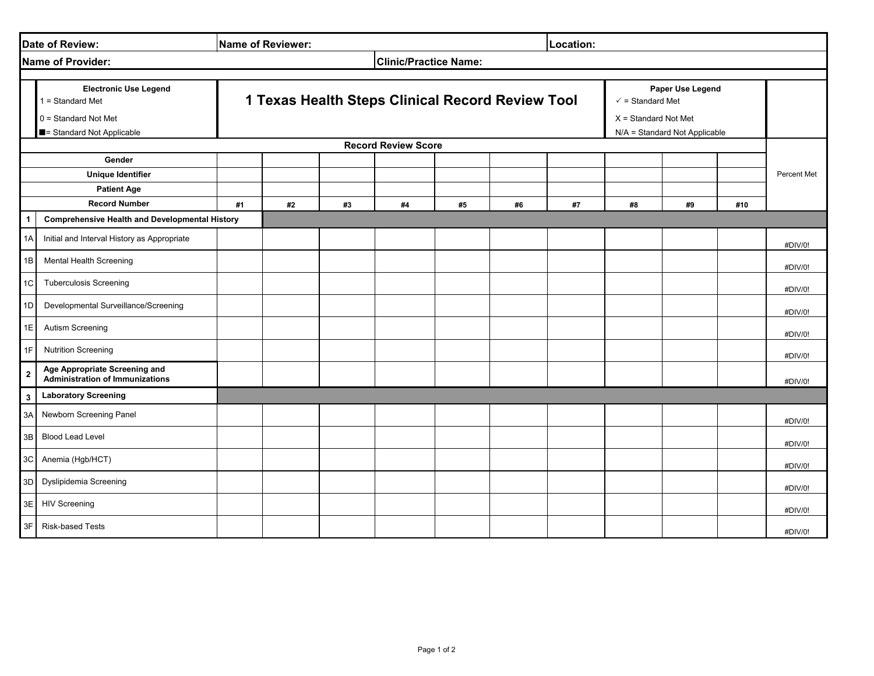| Date of Review:                                          |                                                                                                                    |                                                                                                                                                   | Name of Reviewer: |    |                              | Location: |    |    |                         |    |     |           |
|----------------------------------------------------------|--------------------------------------------------------------------------------------------------------------------|---------------------------------------------------------------------------------------------------------------------------------------------------|-------------------|----|------------------------------|-----------|----|----|-------------------------|----|-----|-----------|
|                                                          | Name of Provider:                                                                                                  |                                                                                                                                                   |                   |    | <b>Clinic/Practice Name:</b> |           |    |    |                         |    |     |           |
|                                                          | <b>Electronic Use Legend</b><br>$1 = Standard Met$<br>$0 =$ Standard Not Met<br><b>E</b> = Standard Not Applicable | <b>1 Texas Health Steps Clinical Record Review Tool</b><br>$\checkmark$ = Standard Met<br>$X =$ Standard Not Met<br>N/A = Standard Not Applicable |                   |    |                              |           |    |    | <b>Paper Use Legend</b> |    |     |           |
| <b>Record Review Score</b>                               |                                                                                                                    |                                                                                                                                                   |                   |    |                              |           |    |    |                         |    |     |           |
| Gender<br><b>Unique Identifier</b><br><b>Patient Age</b> |                                                                                                                    |                                                                                                                                                   |                   |    |                              |           |    |    |                         |    |     | Percent M |
|                                                          | <b>Record Number</b><br><b>Comprehensive Health and Developmental History</b>                                      | #1                                                                                                                                                | #2                | #3 | #4                           | #5        | #6 | #7 | #8                      | #9 | #10 |           |
| 1A                                                       | Initial and Interval History as Appropriate                                                                        |                                                                                                                                                   |                   |    |                              |           |    |    |                         |    |     | #DIV/0    |
| 1B                                                       | <b>Mental Health Screening</b>                                                                                     |                                                                                                                                                   |                   |    |                              |           |    |    |                         |    |     | #DIV/0    |
| 1 <sup>C</sup>                                           | <b>Tuberculosis Screening</b>                                                                                      |                                                                                                                                                   |                   |    |                              |           |    |    |                         |    |     | #DIV/0    |
| 1 <sub>D</sub>                                           | Developmental Surveillance/Screening                                                                               |                                                                                                                                                   |                   |    |                              |           |    |    |                         |    |     | #DIV/0    |
| 1E                                                       | <b>Autism Screening</b>                                                                                            |                                                                                                                                                   |                   |    |                              |           |    |    |                         |    |     | #DIV/0    |
| 1F                                                       | <b>Nutrition Screening</b>                                                                                         |                                                                                                                                                   |                   |    |                              |           |    |    |                         |    |     | #DIV/0    |
| $\overline{2}$                                           | Age Appropriate Screening and<br><b>Administration of Immunizations</b>                                            |                                                                                                                                                   |                   |    |                              |           |    |    |                         |    |     | #DIV/0    |
| $\boldsymbol{3}$                                         | <b>Laboratory Screening</b>                                                                                        |                                                                                                                                                   |                   |    |                              |           |    |    |                         |    |     |           |
| 3A                                                       | <b>Newborn Screening Panel</b>                                                                                     |                                                                                                                                                   |                   |    |                              |           |    |    |                         |    |     | #DIV/0    |
|                                                          | 3B Blood Lead Level                                                                                                |                                                                                                                                                   |                   |    |                              |           |    |    |                         |    |     | #DIV/0    |
|                                                          | 3C Anemia (Hgb/HCT)                                                                                                |                                                                                                                                                   |                   |    |                              |           |    |    |                         |    |     | #DIV/0    |
|                                                          | 3D Dyslipidemia Screening                                                                                          |                                                                                                                                                   |                   |    |                              |           |    |    |                         |    |     | #DIV/0    |
|                                                          | 3E HIV Screening                                                                                                   |                                                                                                                                                   |                   |    |                              |           |    |    |                         |    |     | #DIV/0    |
|                                                          | 3F Risk-based Tests                                                                                                |                                                                                                                                                   |                   |    |                              |           |    |    |                         |    |     | #DIV/0    |

| <b>Paper Use Legend</b><br>dard Met  |     |             |  |  |  |  |
|--------------------------------------|-----|-------------|--|--|--|--|
| lard Not Met<br>ndard Not Applicable |     |             |  |  |  |  |
|                                      |     |             |  |  |  |  |
|                                      |     | Percent Met |  |  |  |  |
| #9                                   | #10 |             |  |  |  |  |
|                                      |     |             |  |  |  |  |
|                                      |     | #DIV/0!     |  |  |  |  |
|                                      |     | #DIV/0!     |  |  |  |  |
|                                      |     | #DIV/0!     |  |  |  |  |
|                                      |     | #DIV/0!     |  |  |  |  |
|                                      |     | #DIV/0!     |  |  |  |  |
|                                      |     | #DIV/0!     |  |  |  |  |
|                                      |     | #DIV/0!     |  |  |  |  |
|                                      |     |             |  |  |  |  |
|                                      |     | #DIV/0!     |  |  |  |  |
|                                      |     | #DIV/0!     |  |  |  |  |
|                                      |     | #DIV/0!     |  |  |  |  |
|                                      |     | #DIV/0!     |  |  |  |  |
|                                      |     | #DIV/0!     |  |  |  |  |
|                                      |     | #DIV/0!     |  |  |  |  |